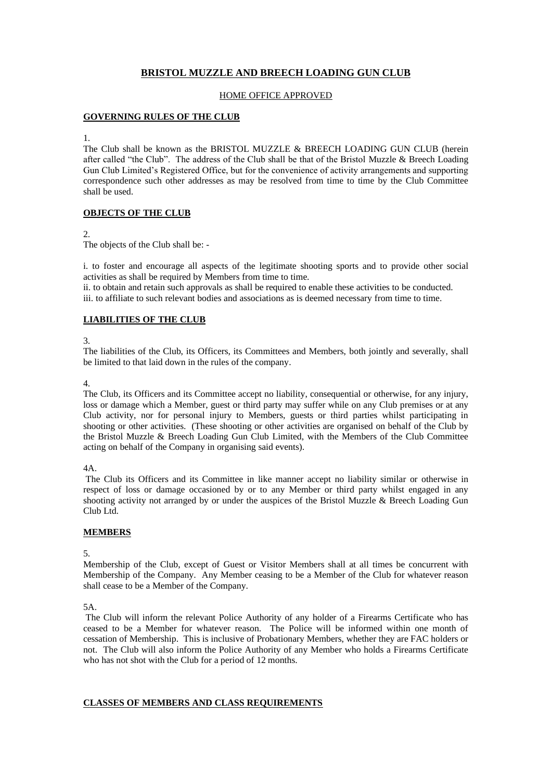# **BRISTOL MUZZLE AND BREECH LOADING GUN CLUB**

## HOME OFFICE APPROVED

## **GOVERNING RULES OF THE CLUB**

1.

The Club shall be known as the BRISTOL MUZZLE & BREECH LOADING GUN CLUB (herein after called "the Club". The address of the Club shall be that of the Bristol Muzzle & Breech Loading Gun Club Limited's Registered Office, but for the convenience of activity arrangements and supporting correspondence such other addresses as may be resolved from time to time by the Club Committee shall be used.

# **OBJECTS OF THE CLUB**

# 2.

The objects of the Club shall be: -

i. to foster and encourage all aspects of the legitimate shooting sports and to provide other social activities as shall be required by Members from time to time.

ii. to obtain and retain such approvals as shall be required to enable these activities to be conducted. iii. to affiliate to such relevant bodies and associations as is deemed necessary from time to time.

# **LIABILITIES OF THE CLUB**

3.

The liabilities of the Club, its Officers, its Committees and Members, both jointly and severally, shall be limited to that laid down in the rules of the company.

### 4.

The Club, its Officers and its Committee accept no liability, consequential or otherwise, for any injury, loss or damage which a Member, guest or third party may suffer while on any Club premises or at any Club activity, nor for personal injury to Members, guests or third parties whilst participating in shooting or other activities. (These shooting or other activities are organised on behalf of the Club by the Bristol Muzzle & Breech Loading Gun Club Limited, with the Members of the Club Committee acting on behalf of the Company in organising said events).

4A.

The Club its Officers and its Committee in like manner accept no liability similar or otherwise in respect of loss or damage occasioned by or to any Member or third party whilst engaged in any shooting activity not arranged by or under the auspices of the Bristol Muzzle & Breech Loading Gun Club Ltd.

# **MEMBERS**

5.

Membership of the Club, except of Guest or Visitor Members shall at all times be concurrent with Membership of the Company. Any Member ceasing to be a Member of the Club for whatever reason shall cease to be a Member of the Company.

5A.

The Club will inform the relevant Police Authority of any holder of a Firearms Certificate who has ceased to be a Member for whatever reason. The Police will be informed within one month of cessation of Membership. This is inclusive of Probationary Members, whether they are FAC holders or not. The Club will also inform the Police Authority of any Member who holds a Firearms Certificate who has not shot with the Club for a period of 12 months.

# **CLASSES OF MEMBERS AND CLASS REQUIREMENTS**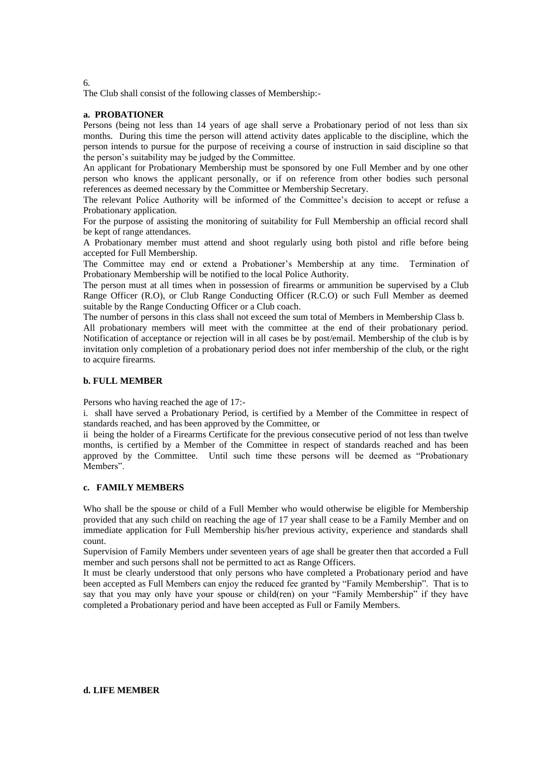The Club shall consist of the following classes of Membership:-

#### **a. PROBATIONER**

Persons (being not less than 14 years of age shall serve a Probationary period of not less than six months. During this time the person will attend activity dates applicable to the discipline, which the person intends to pursue for the purpose of receiving a course of instruction in said discipline so that the person's suitability may be judged by the Committee.

An applicant for Probationary Membership must be sponsored by one Full Member and by one other person who knows the applicant personally, or if on reference from other bodies such personal references as deemed necessary by the Committee or Membership Secretary.

The relevant Police Authority will be informed of the Committee's decision to accept or refuse a Probationary application.

For the purpose of assisting the monitoring of suitability for Full Membership an official record shall be kept of range attendances.

A Probationary member must attend and shoot regularly using both pistol and rifle before being accepted for Full Membership.

The Committee may end or extend a Probationer's Membership at any time. Termination of Probationary Membership will be notified to the local Police Authority.

The person must at all times when in possession of firearms or ammunition be supervised by a Club Range Officer (R.O), or Club Range Conducting Officer (R.C.O) or such Full Member as deemed suitable by the Range Conducting Officer or a Club coach.

The number of persons in this class shall not exceed the sum total of Members in Membership Class b.

All probationary members will meet with the committee at the end of their probationary period. Notification of acceptance or rejection will in all cases be by post/email. Membership of the club is by invitation only completion of a probationary period does not infer membership of the club, or the right to acquire firearms.

#### **b. FULL MEMBER**

Persons who having reached the age of 17:-

i. shall have served a Probationary Period, is certified by a Member of the Committee in respect of standards reached, and has been approved by the Committee, or

ii being the holder of a Firearms Certificate for the previous consecutive period of not less than twelve months, is certified by a Member of the Committee in respect of standards reached and has been approved by the Committee. Until such time these persons will be deemed as "Probationary Members".

#### **c. FAMILY MEMBERS**

Who shall be the spouse or child of a Full Member who would otherwise be eligible for Membership provided that any such child on reaching the age of 17 year shall cease to be a Family Member and on immediate application for Full Membership his/her previous activity, experience and standards shall count.

Supervision of Family Members under seventeen years of age shall be greater then that accorded a Full member and such persons shall not be permitted to act as Range Officers.

It must be clearly understood that only persons who have completed a Probationary period and have been accepted as Full Members can enjoy the reduced fee granted by "Family Membership". That is to say that you may only have your spouse or child(ren) on your "Family Membership" if they have completed a Probationary period and have been accepted as Full or Family Members.

#### **d. LIFE MEMBER**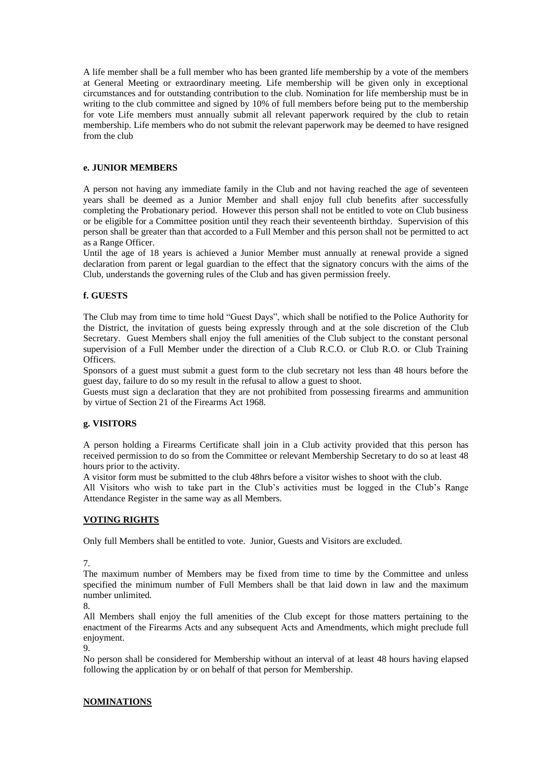A life member shall be a full member who has been granted life membership by a vote of the members at General Meeting or extraordinary meeting. Life membership will be given only in exceptional circumstances and for outstanding contribution to the club. Nomination for life membership must be in writing to the club committee and signed by 10% of full members before being put to the membership for vote Life members must annually submit all relevant paperwork required by the club to retain membership. Life members who do not submit the relevant paperwork may be deemed to have resigned from the club

## **e. JUNIOR MEMBERS**

A person not having any immediate family in the Club and not having reached the age of seventeen years shall be deemed as a Junior Member and shall enjoy full club benefits after successfully completing the Probationary period. However this person shall not be entitled to vote on Club business or be eligible for a Committee position until they reach their seventeenth birthday. Supervision of this person shall be greater than that accorded to a Full Member and this person shall not be permitted to act as a Range Officer.

Until the age of 18 years is achieved a Junior Member must annually at renewal provide a signed declaration from parent or legal guardian to the effect that the signatory concurs with the aims of the Club, understands the governing rules of the Club and has given permission freely.

### **f. GUESTS**

The Club may from time to time hold "Guest Days", which shall be notified to the Police Authority for the District, the invitation of guests being expressly through and at the sole discretion of the Club Secretary. Guest Members shall enjoy the full amenities of the Club subject to the constant personal supervision of a Full Member under the direction of a Club R.C.O. or Club R.O. or Club Training Officers.

Sponsors of a guest must submit a guest form to the club secretary not less than 48 hours before the guest day, failure to do so my result in the refusal to allow a guest to shoot.

Guests must sign a declaration that they are not prohibited from possessing firearms and ammunition by virtue of Section 21 of the Firearms Act 1968.

#### **g. VISITORS**

A person holding a Firearms Certificate shall join in a Club activity provided that this person has received permission to do so from the Committee or relevant Membership Secretary to do so at least 48 hours prior to the activity.

A visitor form must be submitted to the club 48hrs before a visitor wishes to shoot with the club.

All Visitors who wish to take part in the Club's activities must be logged in the Club's Range Attendance Register in the same way as all Members.

#### **VOTING RIGHTS**

Only full Members shall be entitled to vote. Junior, Guests and Visitors are excluded.

7.

The maximum number of Members may be fixed from time to time by the Committee and unless specified the minimum number of Full Members shall be that laid down in law and the maximum number unlimited.

8.

All Members shall enjoy the full amenities of the Club except for those matters pertaining to the enactment of the Firearms Acts and any subsequent Acts and Amendments, which might preclude full enjoyment.

9.

No person shall be considered for Membership without an interval of at least 48 hours having elapsed following the application by or on behalf of that person for Membership.

### **NOMINATIONS**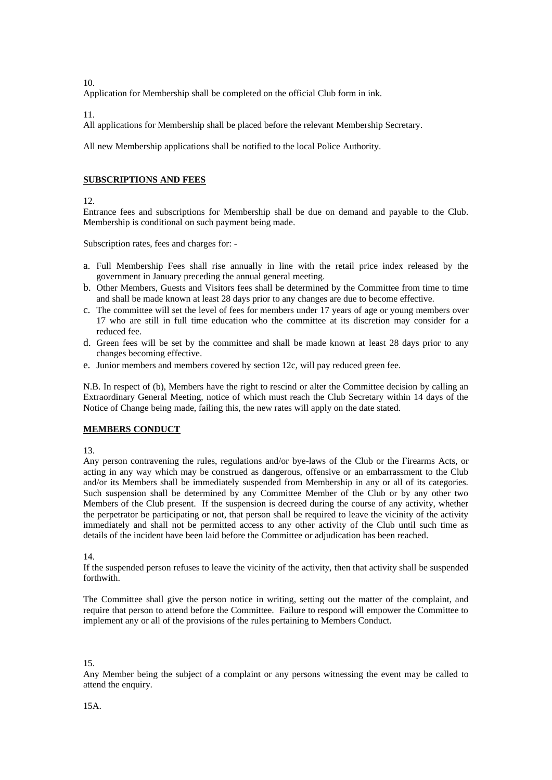Application for Membership shall be completed on the official Club form in ink.

11.

All applications for Membership shall be placed before the relevant Membership Secretary.

All new Membership applications shall be notified to the local Police Authority.

# **SUBSCRIPTIONS AND FEES**

12.

Entrance fees and subscriptions for Membership shall be due on demand and payable to the Club. Membership is conditional on such payment being made.

Subscription rates, fees and charges for: -

- a. Full Membership Fees shall rise annually in line with the retail price index released by the government in January preceding the annual general meeting.
- b. Other Members, Guests and Visitors fees shall be determined by the Committee from time to time and shall be made known at least 28 days prior to any changes are due to become effective.
- c. The committee will set the level of fees for members under 17 years of age or young members over 17 who are still in full time education who the committee at its discretion may consider for a reduced fee.
- d. Green fees will be set by the committee and shall be made known at least 28 days prior to any changes becoming effective.
- e. Junior members and members covered by section 12c, will pay reduced green fee.

N.B. In respect of (b), Members have the right to rescind or alter the Committee decision by calling an Extraordinary General Meeting, notice of which must reach the Club Secretary within 14 days of the Notice of Change being made, failing this, the new rates will apply on the date stated.

### **MEMBERS CONDUCT**

13.

Any person contravening the rules, regulations and/or bye-laws of the Club or the Firearms Acts, or acting in any way which may be construed as dangerous, offensive or an embarrassment to the Club and/or its Members shall be immediately suspended from Membership in any or all of its categories. Such suspension shall be determined by any Committee Member of the Club or by any other two Members of the Club present. If the suspension is decreed during the course of any activity, whether the perpetrator be participating or not, that person shall be required to leave the vicinity of the activity immediately and shall not be permitted access to any other activity of the Club until such time as details of the incident have been laid before the Committee or adjudication has been reached.

14.

If the suspended person refuses to leave the vicinity of the activity, then that activity shall be suspended forthwith.

The Committee shall give the person notice in writing, setting out the matter of the complaint, and require that person to attend before the Committee. Failure to respond will empower the Committee to implement any or all of the provisions of the rules pertaining to Members Conduct.

15.

Any Member being the subject of a complaint or any persons witnessing the event may be called to attend the enquiry.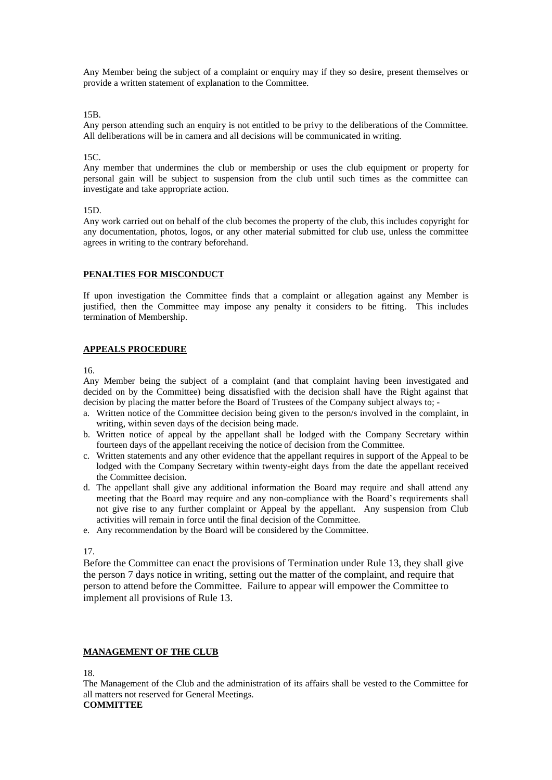Any Member being the subject of a complaint or enquiry may if they so desire, present themselves or provide a written statement of explanation to the Committee.

15B.

Any person attending such an enquiry is not entitled to be privy to the deliberations of the Committee. All deliberations will be in camera and all decisions will be communicated in writing.

#### $15C$

Any member that undermines the club or membership or uses the club equipment or property for personal gain will be subject to suspension from the club until such times as the committee can investigate and take appropriate action.

#### 15D.

Any work carried out on behalf of the club becomes the property of the club, this includes copyright for any documentation, photos, logos, or any other material submitted for club use, unless the committee agrees in writing to the contrary beforehand.

### **PENALTIES FOR MISCONDUCT**

If upon investigation the Committee finds that a complaint or allegation against any Member is justified, then the Committee may impose any penalty it considers to be fitting. This includes termination of Membership.

#### **APPEALS PROCEDURE**

16.

Any Member being the subject of a complaint (and that complaint having been investigated and decided on by the Committee) being dissatisfied with the decision shall have the Right against that decision by placing the matter before the Board of Trustees of the Company subject always to; -

- a. Written notice of the Committee decision being given to the person/s involved in the complaint, in writing, within seven days of the decision being made.
- b. Written notice of appeal by the appellant shall be lodged with the Company Secretary within fourteen days of the appellant receiving the notice of decision from the Committee.
- c. Written statements and any other evidence that the appellant requires in support of the Appeal to be lodged with the Company Secretary within twenty-eight days from the date the appellant received the Committee decision.
- d. The appellant shall give any additional information the Board may require and shall attend any meeting that the Board may require and any non-compliance with the Board's requirements shall not give rise to any further complaint or Appeal by the appellant. Any suspension from Club activities will remain in force until the final decision of the Committee.
- e. Any recommendation by the Board will be considered by the Committee.

17.

Before the Committee can enact the provisions of Termination under Rule 13, they shall give the person 7 days notice in writing, setting out the matter of the complaint, and require that person to attend before the Committee. Failure to appear will empower the Committee to implement all provisions of Rule 13.

#### **MANAGEMENT OF THE CLUB**

18.

The Management of the Club and the administration of its affairs shall be vested to the Committee for all matters not reserved for General Meetings.

## **COMMITTEE**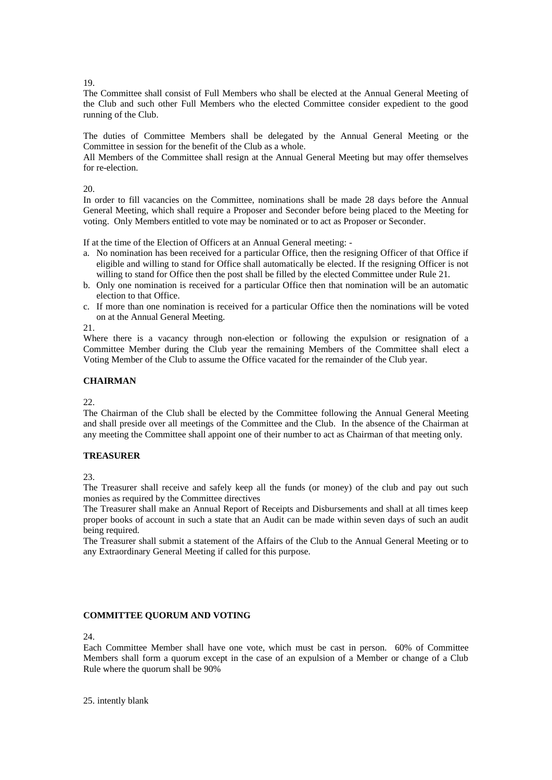The Committee shall consist of Full Members who shall be elected at the Annual General Meeting of the Club and such other Full Members who the elected Committee consider expedient to the good running of the Club.

The duties of Committee Members shall be delegated by the Annual General Meeting or the Committee in session for the benefit of the Club as a whole.

All Members of the Committee shall resign at the Annual General Meeting but may offer themselves for re-election.

20.

In order to fill vacancies on the Committee, nominations shall be made 28 days before the Annual General Meeting, which shall require a Proposer and Seconder before being placed to the Meeting for voting. Only Members entitled to vote may be nominated or to act as Proposer or Seconder.

If at the time of the Election of Officers at an Annual General meeting: -

- a. No nomination has been received for a particular Office, then the resigning Officer of that Office if eligible and willing to stand for Office shall automatically be elected. If the resigning Officer is not willing to stand for Office then the post shall be filled by the elected Committee under Rule 21.
- b. Only one nomination is received for a particular Office then that nomination will be an automatic election to that Office.
- c. If more than one nomination is received for a particular Office then the nominations will be voted on at the Annual General Meeting.

21.

Where there is a vacancy through non-election or following the expulsion or resignation of a Committee Member during the Club year the remaining Members of the Committee shall elect a Voting Member of the Club to assume the Office vacated for the remainder of the Club year.

# **CHAIRMAN**

22.

The Chairman of the Club shall be elected by the Committee following the Annual General Meeting and shall preside over all meetings of the Committee and the Club. In the absence of the Chairman at any meeting the Committee shall appoint one of their number to act as Chairman of that meeting only.

### **TREASURER**

 $23.$ 

The Treasurer shall receive and safely keep all the funds (or money) of the club and pay out such monies as required by the Committee directives

The Treasurer shall make an Annual Report of Receipts and Disbursements and shall at all times keep proper books of account in such a state that an Audit can be made within seven days of such an audit being required.

The Treasurer shall submit a statement of the Affairs of the Club to the Annual General Meeting or to any Extraordinary General Meeting if called for this purpose.

### **COMMITTEE QUORUM AND VOTING**

24.

Each Committee Member shall have one vote, which must be cast in person. 60% of Committee Members shall form a quorum except in the case of an expulsion of a Member or change of a Club Rule where the quorum shall be 90%

25. intently blank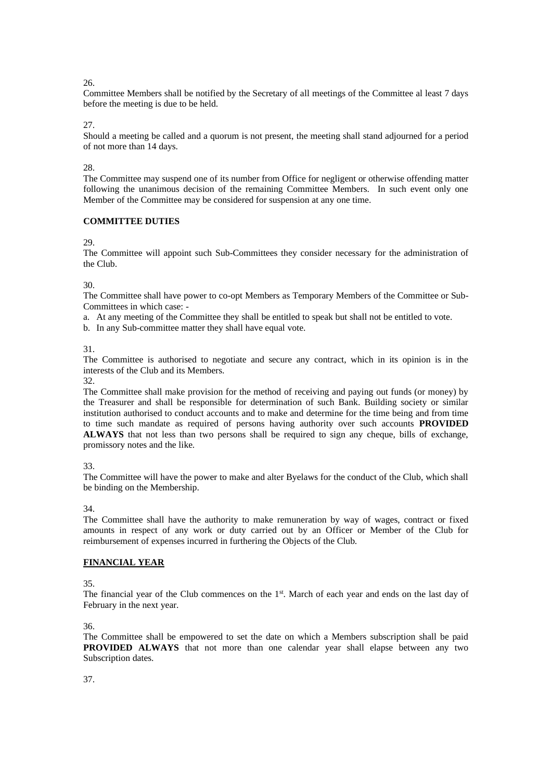Committee Members shall be notified by the Secretary of all meetings of the Committee al least 7 days before the meeting is due to be held.

27.

Should a meeting be called and a quorum is not present, the meeting shall stand adjourned for a period of not more than 14 days.

28.

The Committee may suspend one of its number from Office for negligent or otherwise offending matter following the unanimous decision of the remaining Committee Members. In such event only one Member of the Committee may be considered for suspension at any one time.

# **COMMITTEE DUTIES**

29.

The Committee will appoint such Sub-Committees they consider necessary for the administration of the Club.

30.

The Committee shall have power to co-opt Members as Temporary Members of the Committee or Sub-Committees in which case: -

a. At any meeting of the Committee they shall be entitled to speak but shall not be entitled to vote.

b. In any Sub-committee matter they shall have equal vote.

31.

The Committee is authorised to negotiate and secure any contract, which in its opinion is in the interests of the Club and its Members.

32.

The Committee shall make provision for the method of receiving and paying out funds (or money) by the Treasurer and shall be responsible for determination of such Bank. Building society or similar institution authorised to conduct accounts and to make and determine for the time being and from time to time such mandate as required of persons having authority over such accounts **PROVIDED ALWAYS** that not less than two persons shall be required to sign any cheque, bills of exchange, promissory notes and the like.

33.

The Committee will have the power to make and alter Byelaws for the conduct of the Club, which shall be binding on the Membership.

34.

The Committee shall have the authority to make remuneration by way of wages, contract or fixed amounts in respect of any work or duty carried out by an Officer or Member of the Club for reimbursement of expenses incurred in furthering the Objects of the Club.

# **FINANCIAL YEAR**

35.

The financial year of the Club commences on the  $1<sup>st</sup>$ . March of each year and ends on the last day of February in the next year.

36.

The Committee shall be empowered to set the date on which a Members subscription shall be paid **PROVIDED ALWAYS** that not more than one calendar year shall elapse between any two Subscription dates.

37.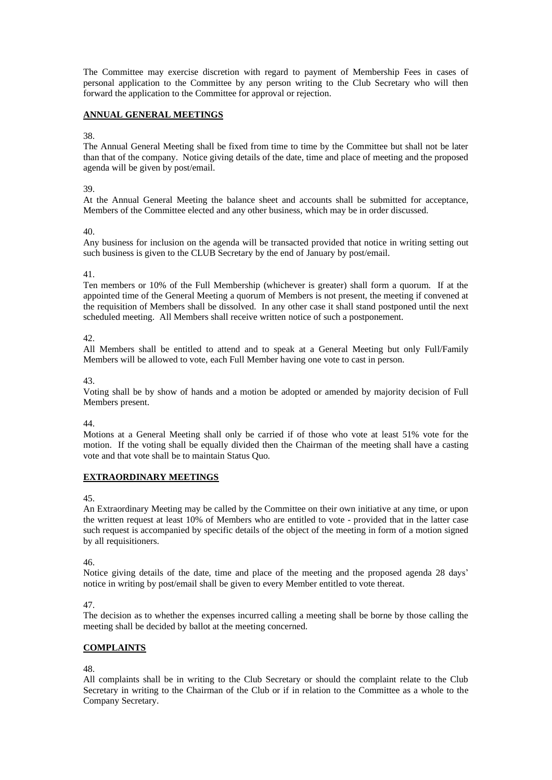The Committee may exercise discretion with regard to payment of Membership Fees in cases of personal application to the Committee by any person writing to the Club Secretary who will then forward the application to the Committee for approval or rejection.

## **ANNUAL GENERAL MEETINGS**

#### 38.

The Annual General Meeting shall be fixed from time to time by the Committee but shall not be later than that of the company. Notice giving details of the date, time and place of meeting and the proposed agenda will be given by post/email.

### 39.

At the Annual General Meeting the balance sheet and accounts shall be submitted for acceptance, Members of the Committee elected and any other business, which may be in order discussed.

### 40.

Any business for inclusion on the agenda will be transacted provided that notice in writing setting out such business is given to the CLUB Secretary by the end of January by post/email.

### 41.

Ten members or 10% of the Full Membership (whichever is greater) shall form a quorum. If at the appointed time of the General Meeting a quorum of Members is not present, the meeting if convened at the requisition of Members shall be dissolved. In any other case it shall stand postponed until the next scheduled meeting. All Members shall receive written notice of such a postponement.

42.

All Members shall be entitled to attend and to speak at a General Meeting but only Full/Family Members will be allowed to vote, each Full Member having one vote to cast in person.

43.

Voting shall be by show of hands and a motion be adopted or amended by majority decision of Full Members present.

44.

Motions at a General Meeting shall only be carried if of those who vote at least 51% vote for the motion. If the voting shall be equally divided then the Chairman of the meeting shall have a casting vote and that vote shall be to maintain Status Quo.

# **EXTRAORDINARY MEETINGS**

45.

An Extraordinary Meeting may be called by the Committee on their own initiative at any time, or upon the written request at least 10% of Members who are entitled to vote - provided that in the latter case such request is accompanied by specific details of the object of the meeting in form of a motion signed by all requisitioners.

46.

Notice giving details of the date, time and place of the meeting and the proposed agenda 28 days' notice in writing by post/email shall be given to every Member entitled to vote thereat.

47.

The decision as to whether the expenses incurred calling a meeting shall be borne by those calling the meeting shall be decided by ballot at the meeting concerned.

# **COMPLAINTS**

48.

All complaints shall be in writing to the Club Secretary or should the complaint relate to the Club Secretary in writing to the Chairman of the Club or if in relation to the Committee as a whole to the Company Secretary.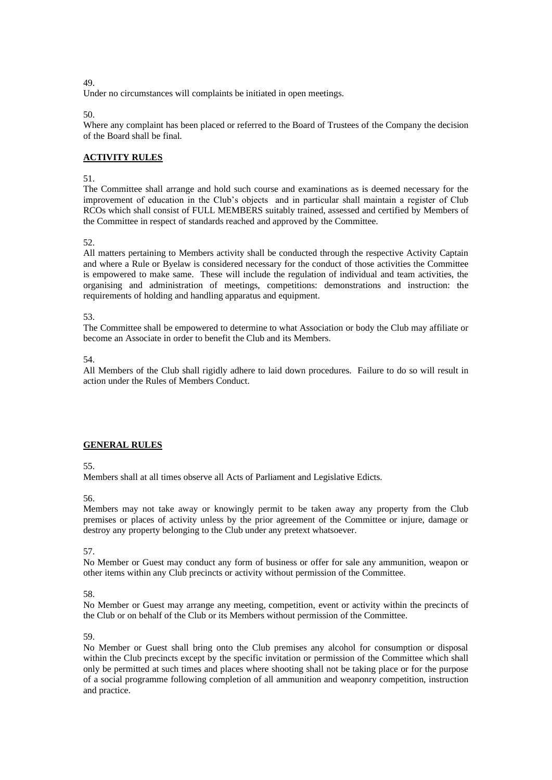Under no circumstances will complaints be initiated in open meetings.

50.

Where any complaint has been placed or referred to the Board of Trustees of the Company the decision of the Board shall be final.

# **ACTIVITY RULES**

51.

The Committee shall arrange and hold such course and examinations as is deemed necessary for the improvement of education in the Club's objects and in particular shall maintain a register of Club RCOs which shall consist of FULL MEMBERS suitably trained, assessed and certified by Members of the Committee in respect of standards reached and approved by the Committee.

52.

All matters pertaining to Members activity shall be conducted through the respective Activity Captain and where a Rule or Byelaw is considered necessary for the conduct of those activities the Committee is empowered to make same. These will include the regulation of individual and team activities, the organising and administration of meetings, competitions: demonstrations and instruction: the requirements of holding and handling apparatus and equipment.

53.

The Committee shall be empowered to determine to what Association or body the Club may affiliate or become an Associate in order to benefit the Club and its Members.

54.

All Members of the Club shall rigidly adhere to laid down procedures. Failure to do so will result in action under the Rules of Members Conduct.

## **GENERAL RULES**

55.

Members shall at all times observe all Acts of Parliament and Legislative Edicts.

56.

Members may not take away or knowingly permit to be taken away any property from the Club premises or places of activity unless by the prior agreement of the Committee or injure, damage or destroy any property belonging to the Club under any pretext whatsoever.

57.

No Member or Guest may conduct any form of business or offer for sale any ammunition, weapon or other items within any Club precincts or activity without permission of the Committee.

58.

No Member or Guest may arrange any meeting, competition, event or activity within the precincts of the Club or on behalf of the Club or its Members without permission of the Committee.

59.

No Member or Guest shall bring onto the Club premises any alcohol for consumption or disposal within the Club precincts except by the specific invitation or permission of the Committee which shall only be permitted at such times and places where shooting shall not be taking place or for the purpose of a social programme following completion of all ammunition and weaponry competition, instruction and practice.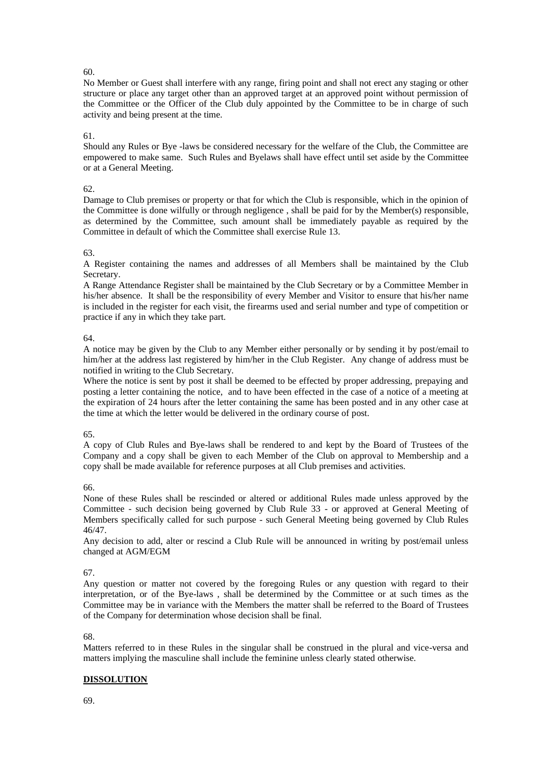No Member or Guest shall interfere with any range, firing point and shall not erect any staging or other structure or place any target other than an approved target at an approved point without permission of the Committee or the Officer of the Club duly appointed by the Committee to be in charge of such activity and being present at the time.

## 61.

Should any Rules or Bye -laws be considered necessary for the welfare of the Club, the Committee are empowered to make same. Such Rules and Byelaws shall have effect until set aside by the Committee or at a General Meeting.

#### 62.

Damage to Club premises or property or that for which the Club is responsible, which in the opinion of the Committee is done wilfully or through negligence , shall be paid for by the Member(s) responsible, as determined by the Committee, such amount shall be immediately payable as required by the Committee in default of which the Committee shall exercise Rule 13.

#### 63.

A Register containing the names and addresses of all Members shall be maintained by the Club Secretary.

A Range Attendance Register shall be maintained by the Club Secretary or by a Committee Member in his/her absence. It shall be the responsibility of every Member and Visitor to ensure that his/her name is included in the register for each visit, the firearms used and serial number and type of competition or practice if any in which they take part.

#### 64.

A notice may be given by the Club to any Member either personally or by sending it by post/email to him/her at the address last registered by him/her in the Club Register. Any change of address must be notified in writing to the Club Secretary.

Where the notice is sent by post it shall be deemed to be effected by proper addressing, prepaying and posting a letter containing the notice, and to have been effected in the case of a notice of a meeting at the expiration of 24 hours after the letter containing the same has been posted and in any other case at the time at which the letter would be delivered in the ordinary course of post.

### 65.

A copy of Club Rules and Bye-laws shall be rendered to and kept by the Board of Trustees of the Company and a copy shall be given to each Member of the Club on approval to Membership and a copy shall be made available for reference purposes at all Club premises and activities.

66.

None of these Rules shall be rescinded or altered or additional Rules made unless approved by the Committee - such decision being governed by Club Rule 33 - or approved at General Meeting of Members specifically called for such purpose - such General Meeting being governed by Club Rules 46/47.

Any decision to add, alter or rescind a Club Rule will be announced in writing by post/email unless changed at AGM/EGM

### 67.

Any question or matter not covered by the foregoing Rules or any question with regard to their interpretation, or of the Bye-laws , shall be determined by the Committee or at such times as the Committee may be in variance with the Members the matter shall be referred to the Board of Trustees of the Company for determination whose decision shall be final.

#### 68.

Matters referred to in these Rules in the singular shall be construed in the plural and vice-versa and matters implying the masculine shall include the feminine unless clearly stated otherwise.

### **DISSOLUTION**

69.